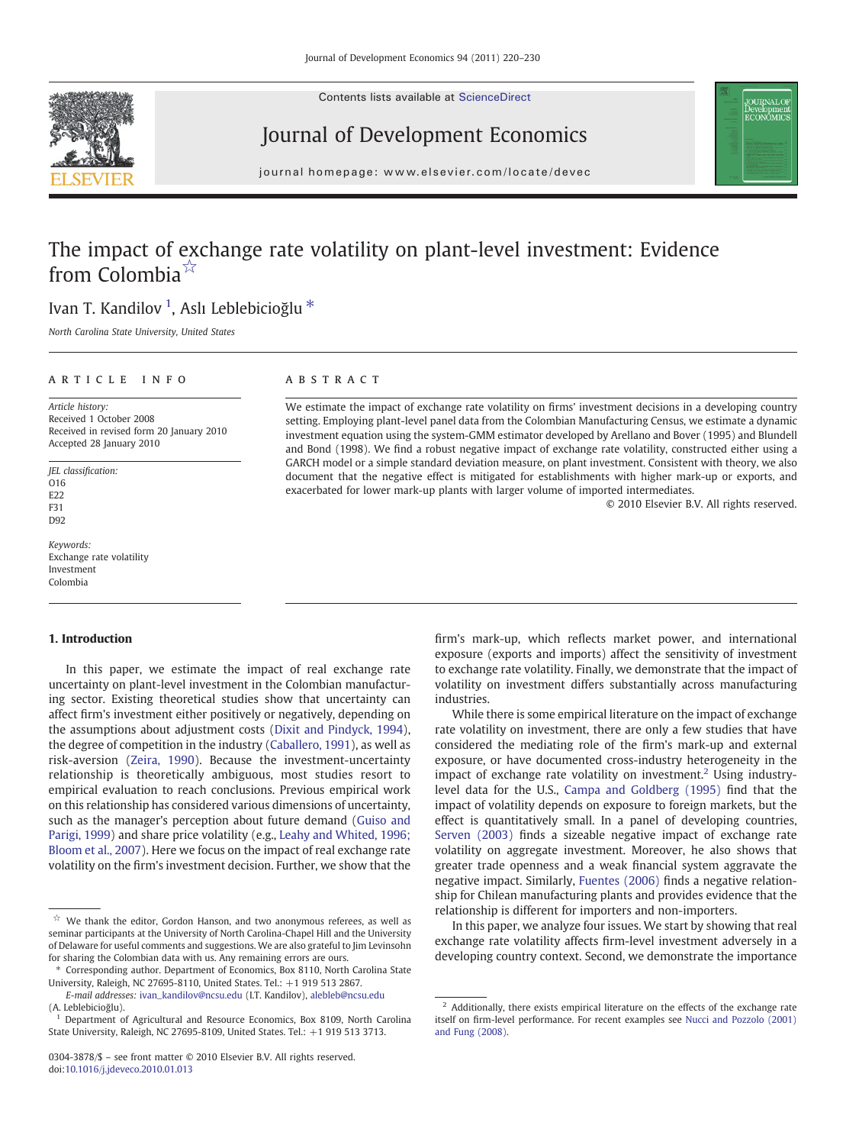Contents lists available at [ScienceDirect](http://www.sciencedirect.com/science/journal/03043878)





# Journal of Development Economics

journal homepage: www.elsevier.com/locate/devec

# The impact of exchange rate volatility on plant-level investment: Evidence from Colombia☆

## Ivan T. Kandilov<sup>1</sup>, Aslı Leblebicioğlu \*

North Carolina State University, United States

### ARTICLE INFO ABSTRACT

Article history: Received 1 October 2008 Received in revised form 20 January 2010 Accepted 28 January 2010

JEL classification: O16  $F22$ F31 D92

Keywords: Exchange rate volatility Investment Colombia

#### 1. Introduction

In this paper, we estimate the impact of real exchange rate uncertainty on plant-level investment in the Colombian manufacturing sector. Existing theoretical studies show that uncertainty can affect firm's investment either positively or negatively, depending on the assumptions about adjustment costs [\(Dixit and Pindyck, 1994](#page--1-0)), the degree of competition in the industry [\(Caballero, 1991](#page--1-0)), as well as risk-aversion ([Zeira, 1990\)](#page--1-0). Because the investment-uncertainty relationship is theoretically ambiguous, most studies resort to empirical evaluation to reach conclusions. Previous empirical work on this relationship has considered various dimensions of uncertainty, such as the manager's perception about future demand ([Guiso and](#page--1-0) [Parigi, 1999\)](#page--1-0) and share price volatility (e.g., [Leahy and Whited, 1996;](#page--1-0) [Bloom et al., 2007\)](#page--1-0). Here we focus on the impact of real exchange rate volatility on the firm's investment decision. Further, we show that the

We estimate the impact of exchange rate volatility on firms' investment decisions in a developing country setting. Employing plant-level panel data from the Colombian Manufacturing Census, we estimate a dynamic investment equation using the system-GMM estimator developed by Arellano and Bover (1995) and Blundell and Bond (1998). We find a robust negative impact of exchange rate volatility, constructed either using a GARCH model or a simple standard deviation measure, on plant investment. Consistent with theory, we also document that the negative effect is mitigated for establishments with higher mark-up or exports, and exacerbated for lower mark-up plants with larger volume of imported intermediates.

© 2010 Elsevier B.V. All rights reserved.

firm's mark-up, which reflects market power, and international exposure (exports and imports) affect the sensitivity of investment to exchange rate volatility. Finally, we demonstrate that the impact of volatility on investment differs substantially across manufacturing industries.

While there is some empirical literature on the impact of exchange rate volatility on investment, there are only a few studies that have considered the mediating role of the firm's mark-up and external exposure, or have documented cross-industry heterogeneity in the impact of exchange rate volatility on investment.<sup>2</sup> Using industrylevel data for the U.S., [Campa and Goldberg \(1995\)](#page--1-0) find that the impact of volatility depends on exposure to foreign markets, but the effect is quantitatively small. In a panel of developing countries, [Serven \(2003\)](#page--1-0) finds a sizeable negative impact of exchange rate volatility on aggregate investment. Moreover, he also shows that greater trade openness and a weak financial system aggravate the negative impact. Similarly, [Fuentes \(2006\)](#page--1-0) finds a negative relationship for Chilean manufacturing plants and provides evidence that the relationship is different for importers and non-importers.

In this paper, we analyze four issues. We start by showing that real exchange rate volatility affects firm-level investment adversely in a developing country context. Second, we demonstrate the importance

 $\overrightarrow{x}$  We thank the editor, Gordon Hanson, and two anonymous referees, as well as seminar participants at the University of North Carolina-Chapel Hill and the University of Delaware for useful comments and suggestions. We are also grateful to Jim Levinsohn for sharing the Colombian data with us. Any remaining errors are ours.

<sup>⁎</sup> Corresponding author. Department of Economics, Box 8110, North Carolina State University, Raleigh, NC 27695-8110, United States. Tel.: +1 919 513 2867.

E-mail addresses: [ivan\\_kandilov@ncsu.edu](mailto:ivan_kandilov@ncsu.edu) (I.T. Kandilov), [alebleb@ncsu.edu](mailto:alebleb@ncsu.edu) (A. Leblebicioğlu).

<sup>&</sup>lt;sup>1</sup> Department of Agricultural and Resource Economics, Box 8109, North Carolina State University, Raleigh, NC 27695-8109, United States. Tel.: +1 919 513 3713.

<sup>&</sup>lt;sup>2</sup> Additionally, there exists empirical literature on the effects of the exchange rate itself on firm-level performance. For recent examples see [Nucci and Pozzolo \(2001\)](#page--1-0) [and Fung \(2008\)](#page--1-0).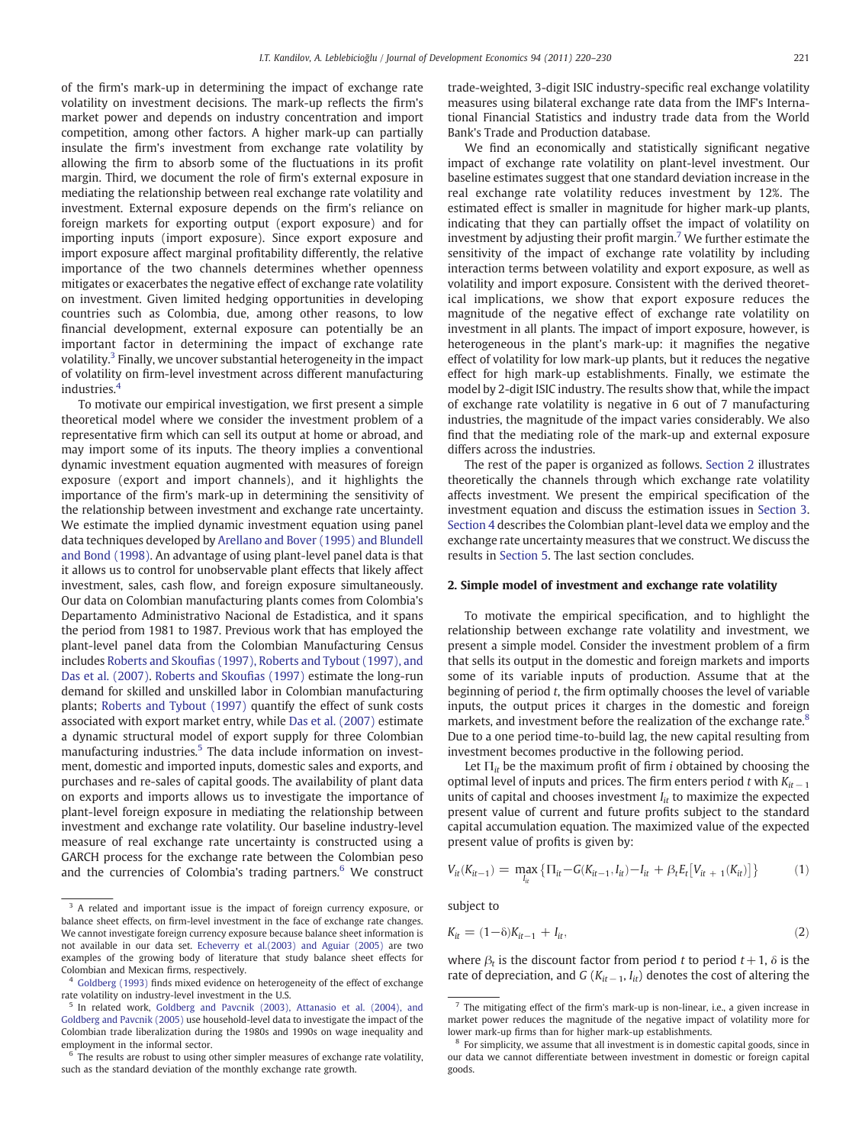of the firm's mark-up in determining the impact of exchange rate volatility on investment decisions. The mark-up reflects the firm's market power and depends on industry concentration and import competition, among other factors. A higher mark-up can partially insulate the firm's investment from exchange rate volatility by allowing the firm to absorb some of the fluctuations in its profit margin. Third, we document the role of firm's external exposure in mediating the relationship between real exchange rate volatility and investment. External exposure depends on the firm's reliance on foreign markets for exporting output (export exposure) and for importing inputs (import exposure). Since export exposure and import exposure affect marginal profitability differently, the relative importance of the two channels determines whether openness mitigates or exacerbates the negative effect of exchange rate volatility on investment. Given limited hedging opportunities in developing countries such as Colombia, due, among other reasons, to low financial development, external exposure can potentially be an important factor in determining the impact of exchange rate volatility.3 Finally, we uncover substantial heterogeneity in the impact of volatility on firm-level investment across different manufacturing industries.

To motivate our empirical investigation, we first present a simple theoretical model where we consider the investment problem of a representative firm which can sell its output at home or abroad, and may import some of its inputs. The theory implies a conventional dynamic investment equation augmented with measures of foreign exposure (export and import channels), and it highlights the importance of the firm's mark-up in determining the sensitivity of the relationship between investment and exchange rate uncertainty. We estimate the implied dynamic investment equation using panel data techniques developed by [Arellano and Bover \(1995\) and Blundell](#page--1-0) [and Bond \(1998\)](#page--1-0). An advantage of using plant-level panel data is that it allows us to control for unobservable plant effects that likely affect investment, sales, cash flow, and foreign exposure simultaneously. Our data on Colombian manufacturing plants comes from Colombia's Departamento Administrativo Nacional de Estadistica, and it spans the period from 1981 to 1987. Previous work that has employed the plant-level panel data from the Colombian Manufacturing Census includes Roberts and Skoufi[as \(1997\), Roberts and Tybout \(1997\), and](#page--1-0) [Das et al. \(2007\)](#page--1-0). [Roberts and Skou](#page--1-0)fias (1997) estimate the long-run demand for skilled and unskilled labor in Colombian manufacturing plants; [Roberts and Tybout \(1997\)](#page--1-0) quantify the effect of sunk costs associated with export market entry, while [Das et al. \(2007\)](#page--1-0) estimate a dynamic structural model of export supply for three Colombian manufacturing industries. $5$  The data include information on investment, domestic and imported inputs, domestic sales and exports, and purchases and re-sales of capital goods. The availability of plant data on exports and imports allows us to investigate the importance of plant-level foreign exposure in mediating the relationship between investment and exchange rate volatility. Our baseline industry-level measure of real exchange rate uncertainty is constructed using a GARCH process for the exchange rate between the Colombian peso and the currencies of Colombia's trading partners. $6$  We construct

trade-weighted, 3-digit ISIC industry-specific real exchange volatility measures using bilateral exchange rate data from the IMF's International Financial Statistics and industry trade data from the World Bank's Trade and Production database.

We find an economically and statistically significant negative impact of exchange rate volatility on plant-level investment. Our baseline estimates suggest that one standard deviation increase in the real exchange rate volatility reduces investment by 12%. The estimated effect is smaller in magnitude for higher mark-up plants, indicating that they can partially offset the impact of volatility on investment by adjusting their profit margin.<sup>7</sup> We further estimate the sensitivity of the impact of exchange rate volatility by including interaction terms between volatility and export exposure, as well as volatility and import exposure. Consistent with the derived theoretical implications, we show that export exposure reduces the magnitude of the negative effect of exchange rate volatility on investment in all plants. The impact of import exposure, however, is heterogeneous in the plant's mark-up: it magnifies the negative effect of volatility for low mark-up plants, but it reduces the negative effect for high mark-up establishments. Finally, we estimate the model by 2-digit ISIC industry. The results show that, while the impact of exchange rate volatility is negative in 6 out of 7 manufacturing industries, the magnitude of the impact varies considerably. We also find that the mediating role of the mark-up and external exposure differs across the industries.

The rest of the paper is organized as follows. Section 2 illustrates theoretically the channels through which exchange rate volatility affects investment. We present the empirical specification of the investment equation and discuss the estimation issues in [Section 3.](#page--1-0) [Section 4](#page--1-0) describes the Colombian plant-level data we employ and the exchange rate uncertainty measures that we construct. We discuss the results in [Section 5](#page--1-0). The last section concludes.

#### 2. Simple model of investment and exchange rate volatility

To motivate the empirical specification, and to highlight the relationship between exchange rate volatility and investment, we present a simple model. Consider the investment problem of a firm that sells its output in the domestic and foreign markets and imports some of its variable inputs of production. Assume that at the beginning of period t, the firm optimally chooses the level of variable inputs, the output prices it charges in the domestic and foreign markets, and investment before the realization of the exchange rate.<sup>8</sup> Due to a one period time-to-build lag, the new capital resulting from investment becomes productive in the following period.

Let  $\Pi_{it}$  be the maximum profit of firm *i* obtained by choosing the optimal level of inputs and prices. The firm enters period t with  $K_{it-1}$ units of capital and chooses investment  $I_{it}$  to maximize the expected present value of current and future profits subject to the standard capital accumulation equation. The maximized value of the expected present value of profits is given by:

$$
V_{it}(K_{it-1}) = \max_{I_{it}} \{ \Pi_{it} - G(K_{it-1}, I_{it}) - I_{it} + \beta_t E_t [V_{it+1}(K_{it})] \}
$$
(1)

subject to

$$
K_{it} = (1 - \delta)K_{it-1} + I_{it},
$$
\n(2)

where  $\beta_t$  is the discount factor from period t to period  $t + 1$ ,  $\delta$  is the rate of depreciation, and G ( $K_{it-1}$ ,  $I_{it}$ ) denotes the cost of altering the

<sup>3</sup> A related and important issue is the impact of foreign currency exposure, or balance sheet effects, on firm-level investment in the face of exchange rate changes. We cannot investigate foreign currency exposure because balance sheet information is not available in our data set. [Echeverry et al.\(2003\) and Aguiar \(2005\)](#page--1-0) are two examples of the growing body of literature that study balance sheet effects for Colombian and Mexican firms, respectively.

<sup>4</sup> [Goldberg \(1993\)](#page--1-0) finds mixed evidence on heterogeneity of the effect of exchange rate volatility on industry-level investment in the U.S.

In related work, [Goldberg and Pavcnik \(2003\), Attanasio et al. \(2004\), and](#page--1-0) [Goldberg and Pavcnik \(2005\)](#page--1-0) use household-level data to investigate the impact of the Colombian trade liberalization during the 1980s and 1990s on wage inequality and employment in the informal sector.

 $6$  The results are robust to using other simpler measures of exchange rate volatility, such as the standard deviation of the monthly exchange rate growth.

 $^7$  The mitigating effect of the firm's mark-up is non-linear, i.e., a given increase in market power reduces the magnitude of the negative impact of volatility more for lower mark-up firms than for higher mark-up establishments.

<sup>&</sup>lt;sup>8</sup> For simplicity, we assume that all investment is in domestic capital goods, since in our data we cannot differentiate between investment in domestic or foreign capital goods.